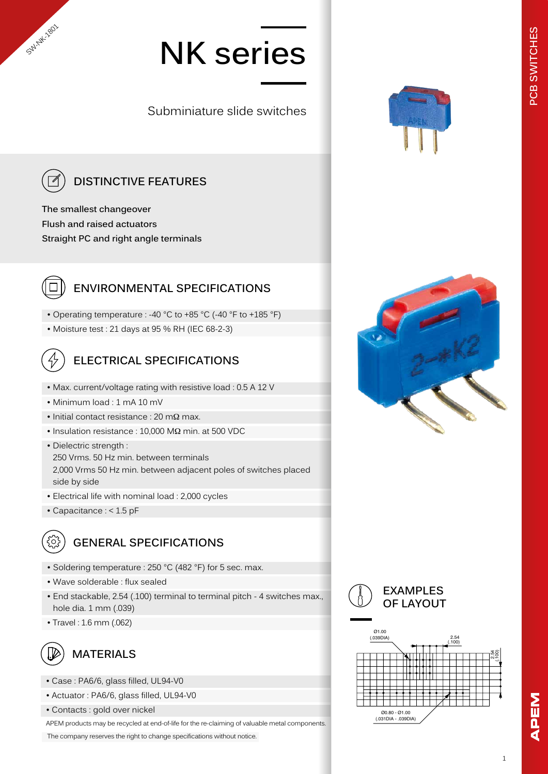# **NK series**

Subminiature slide switches



SW-NK-1801

## **DISTINCTIVE FEATURES**

**The smallest changeover Flush and raised actuators Straight PC and right angle terminals**



#### **ENVIRONMENTAL SPECIFICATIONS**

• Operating temperature : -40 °C to +85 °C (-40 °F to +185 °F)

• Moisture test : 21 days at 95 % RH (IEC 68-2-3)



### **ELECTRICAL SPECIFICATIONS**

- Max. current/voltage rating with resistive load : 0.5 A 12 V
- Minimum load : 1 mA 10 mV
- Initial contact resistance : 20 mΩ max.
- Insulation resistance : 10,000 MΩ min. at 500 VDC

• Dielectric strength : 250 Vrms. 50 Hz min. between terminals 2,000 Vrms 50 Hz min. between adjacent poles of switches placed side by side

- Electrical life with nominal load : 2,000 cycles
- Capacitance : < 1.5 pF



#### **GENERAL SPECIFICATIONS**

- Soldering temperature : 250 °C (482 °F) for 5 sec. max.
- Wave solderable : flux sealed
- End stackable, 2.54 (.100) terminal to terminal pitch 4 switches max., hole dia. 1 mm (.039)
- Travel : 1.6 mm (.062)



#### **MATERIALS**

- Case : PA6/6, glass filled, UL94-V0
- Actuator : PA6/6, glass filled, UL94-V0
- Contacts : gold over nickel

APEM products may be recycled at end-of-life for the re-claiming of valuable metal components.